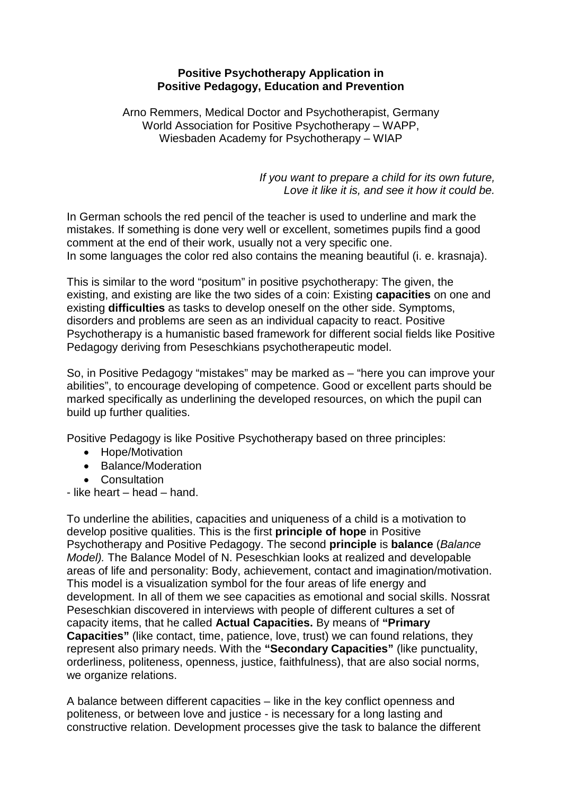# **Positive Psychotherapy Application in Positive Pedagogy, Education and Prevention**

Arno Remmers, Medical Doctor and Psychotherapist, Germany World Association for Positive Psychotherapy – WAPP, Wiesbaden Academy for Psychotherapy – WIAP

> *If you want to prepare a child for its own future, Love it like it is, and see it how it could be.*

In German schools the red pencil of the teacher is used to underline and mark the mistakes. If something is done very well or excellent, sometimes pupils find a good comment at the end of their work, usually not a very specific one. In some languages the color red also contains the meaning beautiful (i. e. krasnaja).

This is similar to the word "positum" in positive psychotherapy: The given, the existing, and existing are like the two sides of a coin: Existing **capacities** on one and existing **difficulties** as tasks to develop oneself on the other side. Symptoms, disorders and problems are seen as an individual capacity to react. Positive Psychotherapy is a humanistic based framework for different social fields like Positive Pedagogy deriving from Peseschkians psychotherapeutic model.

So, in Positive Pedagogy "mistakes" may be marked as – "here you can improve your abilities", to encourage developing of competence. Good or excellent parts should be marked specifically as underlining the developed resources, on which the pupil can build up further qualities.

Positive Pedagogy is like Positive Psychotherapy based on three principles:

- Hope/Motivation
- Balance/Moderation
- Consultation

- like heart – head – hand.

To underline the abilities, capacities and uniqueness of a child is a motivation to develop positive qualities. This is the first **principle of hope** in Positive Psychotherapy and Positive Pedagogy. The second **principle** is **balance** (*Balance Model).* The Balance Model of N. Peseschkian looks at realized and developable areas of life and personality: Body, achievement, contact and imagination/motivation. This model is a visualization symbol for the four areas of life energy and development. In all of them we see capacities as emotional and social skills. Nossrat Peseschkian discovered in interviews with people of different cultures a set of capacity items, that he called **Actual Capacities.** By means of **"Primary Capacities"** (like contact, time, patience, love, trust) we can found relations, they represent also primary needs. With the **"Secondary Capacities"** (like punctuality, orderliness, politeness, openness, justice, faithfulness), that are also social norms, we organize relations.

A balance between different capacities – like in the key conflict openness and politeness, or between love and justice - is necessary for a long lasting and constructive relation. Development processes give the task to balance the different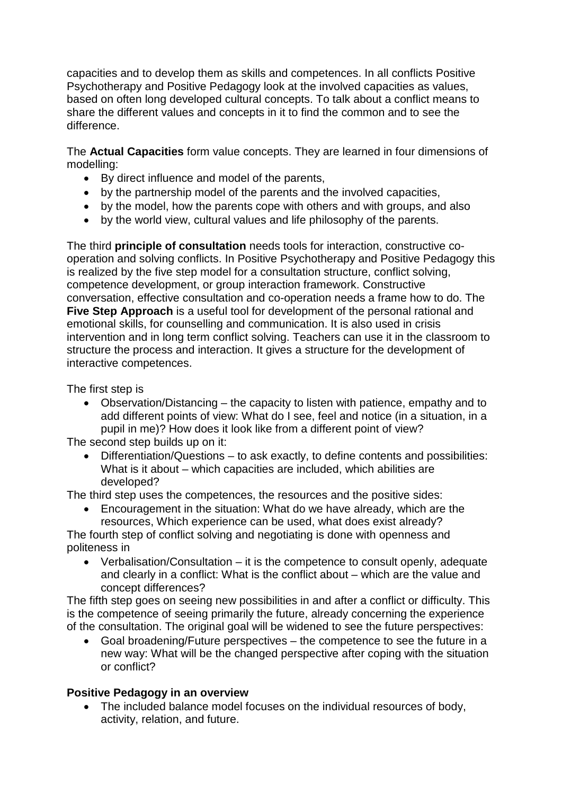capacities and to develop them as skills and competences. In all conflicts Positive Psychotherapy and Positive Pedagogy look at the involved capacities as values, based on often long developed cultural concepts. To talk about a conflict means to share the different values and concepts in it to find the common and to see the difference.

The **Actual Capacities** form value concepts. They are learned in four dimensions of modelling:

- By direct influence and model of the parents,
- by the partnership model of the parents and the involved capacities,
- by the model, how the parents cope with others and with groups, and also
- by the world view, cultural values and life philosophy of the parents.

The third **principle of consultation** needs tools for interaction, constructive cooperation and solving conflicts. In Positive Psychotherapy and Positive Pedagogy this is realized by the five step model for a consultation structure, conflict solving, competence development, or group interaction framework. Constructive conversation, effective consultation and co-operation needs a frame how to do. The **Five Step Approach** is a useful tool for development of the personal rational and emotional skills, for counselling and communication. It is also used in crisis intervention and in long term conflict solving. Teachers can use it in the classroom to structure the process and interaction. It gives a structure for the development of interactive competences.

The first step is

• Observation/Distancing – the capacity to listen with patience, empathy and to add different points of view: What do I see, feel and notice (in a situation, in a pupil in me)? How does it look like from a different point of view?

The second step builds up on it:

• Differentiation/Questions – to ask exactly, to define contents and possibilities: What is it about – which capacities are included, which abilities are developed?

The third step uses the competences, the resources and the positive sides:

• Encouragement in the situation: What do we have already, which are the resources, Which experience can be used, what does exist already?

The fourth step of conflict solving and negotiating is done with openness and politeness in

• Verbalisation/Consultation – it is the competence to consult openly, adequate and clearly in a conflict: What is the conflict about – which are the value and concept differences?

The fifth step goes on seeing new possibilities in and after a conflict or difficulty. This is the competence of seeing primarily the future, already concerning the experience of the consultation. The original goal will be widened to see the future perspectives:

• Goal broadening/Future perspectives – the competence to see the future in a new way: What will be the changed perspective after coping with the situation or conflict?

# **Positive Pedagogy in an overview**

• The included balance model focuses on the individual resources of body, activity, relation, and future.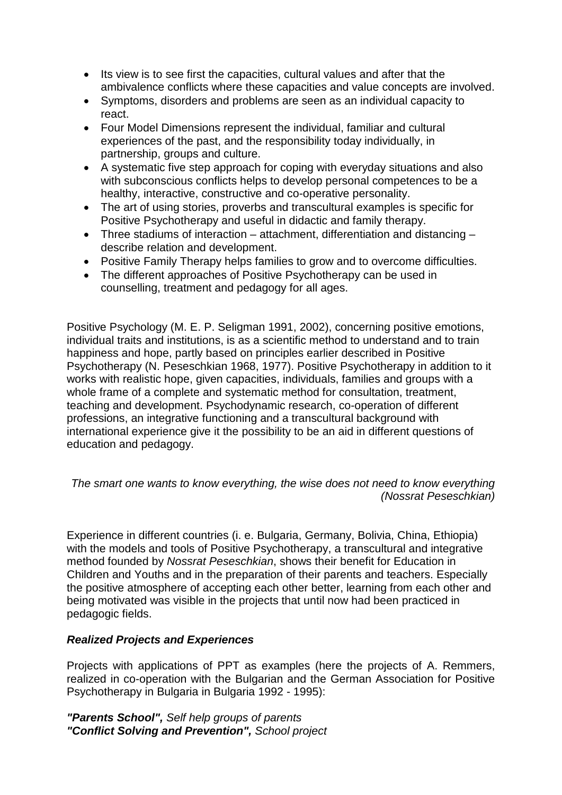- Its view is to see first the capacities, cultural values and after that the ambivalence conflicts where these capacities and value concepts are involved.
- Symptoms, disorders and problems are seen as an individual capacity to react.
- Four Model Dimensions represent the individual, familiar and cultural experiences of the past, and the responsibility today individually, in partnership, groups and culture.
- A systematic five step approach for coping with everyday situations and also with subconscious conflicts helps to develop personal competences to be a healthy, interactive, constructive and co-operative personality.
- The art of using stories, proverbs and transcultural examples is specific for Positive Psychotherapy and useful in didactic and family therapy.
- Three stadiums of interaction attachment, differentiation and distancing describe relation and development.
- Positive Family Therapy helps families to grow and to overcome difficulties.
- The different approaches of Positive Psychotherapy can be used in counselling, treatment and pedagogy for all ages.

Positive Psychology (M. E. P. Seligman 1991, 2002), concerning positive emotions, individual traits and institutions, is as a scientific method to understand and to train happiness and hope, partly based on principles earlier described in Positive Psychotherapy (N. Peseschkian 1968, 1977). Positive Psychotherapy in addition to it works with realistic hope, given capacities, individuals, families and groups with a whole frame of a complete and systematic method for consultation, treatment, teaching and development. Psychodynamic research, co-operation of different professions, an integrative functioning and a transcultural background with international experience give it the possibility to be an aid in different questions of education and pedagogy.

*The smart one wants to know everything, the wise does not need to know everything (Nossrat Peseschkian)*

Experience in different countries (i. e. Bulgaria, Germany, Bolivia, China, Ethiopia) with the models and tools of Positive Psychotherapy, a transcultural and integrative method founded by *Nossrat Peseschkian*, shows their benefit for Education in Children and Youths and in the preparation of their parents and teachers. Especially the positive atmosphere of accepting each other better, learning from each other and being motivated was visible in the projects that until now had been practiced in pedagogic fields.

## *Realized Projects and Experiences*

Projects with applications of PPT as examples (here the projects of A. Remmers, realized in co-operation with the Bulgarian and the German Association for Positive Psychotherapy in Bulgaria in Bulgaria 1992 - 1995):

*"Parents School", Self help groups of parents "Conflict Solving and Prevention", School project*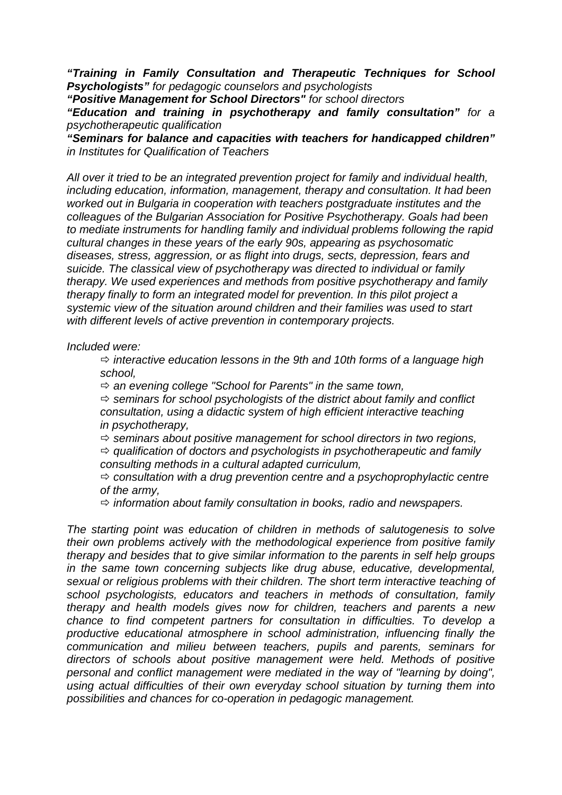*"Training in Family Consultation and Therapeutic Techniques for School Psychologists" for pedagogic counselors and psychologists*

*"Positive Management for School Directors" for school directors*

*"Education and training in psychotherapy and family consultation" for a psychotherapeutic qualification*

*"Seminars for balance and capacities with teachers for handicapped children" in Institutes for Qualification of Teachers*

*All over it tried to be an integrated prevention project for family and individual health, including education, information, management, therapy and consultation. It had been worked out in Bulgaria in cooperation with teachers postgraduate institutes and the colleagues of the Bulgarian Association for Positive Psychotherapy. Goals had been to mediate instruments for handling family and individual problems following the rapid cultural changes in these years of the early 90s, appearing as psychosomatic diseases, stress, aggression, or as flight into drugs, sects, depression, fears and suicide. The classical view of psychotherapy was directed to individual or family therapy. We used experiences and methods from positive psychotherapy and family therapy finally to form an integrated model for prevention. In this pilot project a systemic view of the situation around children and their families was used to start with different levels of active prevention in contemporary projects.*

#### *Included were:*

 *interactive education lessons in the 9th and 10th forms of a language high school,* 

*an evening college "School for Parents" in the same town,* 

 $\Rightarrow$  seminars for school psychologists of the district about family and conflict *consultation, using a didactic system of high efficient interactive teaching in psychotherapy,* 

*seminars about positive management for school directors in two regions,* 

 *qualification of doctors and psychologists in psychotherapeutic and family consulting methods in a cultural adapted curriculum,*

 *consultation with a drug prevention centre and a psychoprophylactic centre of the army,* 

*information about family consultation in books, radio and newspapers.*

*The starting point was education of children in methods of salutogenesis to solve their own problems actively with the methodological experience from positive family therapy and besides that to give similar information to the parents in self help groups in the same town concerning subjects like drug abuse, educative, developmental, sexual or religious problems with their children. The short term interactive teaching of school psychologists, educators and teachers in methods of consultation, family therapy and health models gives now for children, teachers and parents a new chance to find competent partners for consultation in difficulties. To develop a productive educational atmosphere in school administration, influencing finally the communication and milieu between teachers, pupils and parents, seminars for directors of schools about positive management were held. Methods of positive*  personal and conflict management were mediated in the way of "learning by doing", *using actual difficulties of their own everyday school situation by turning them into possibilities and chances for co-operation in pedagogic management.*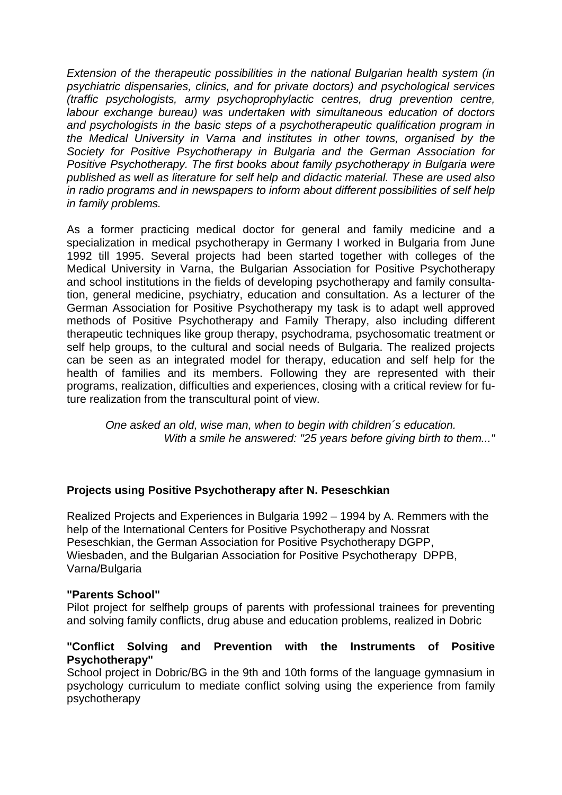*Extension of the therapeutic possibilities in the national Bulgarian health system (in psychiatric dispensaries, clinics, and for private doctors) and psychological services (traffic psychologists, army psychoprophylactic centres, drug prevention centre, labour exchange bureau) was undertaken with simultaneous education of doctors and psychologists in the basic steps of a psychotherapeutic qualification program in the Medical University in Varna and institutes in other towns, organised by the Society for Positive Psychotherapy in Bulgaria and the German Association for Positive Psychotherapy. The first books about family psychotherapy in Bulgaria were published as well as literature for self help and didactic material. These are used also in radio programs and in newspapers to inform about different possibilities of self help in family problems.*

As a former practicing medical doctor for general and family medicine and a specialization in medical psychotherapy in Germany I worked in Bulgaria from June 1992 till 1995. Several projects had been started together with colleges of the Medical University in Varna, the Bulgarian Association for Positive Psychotherapy and school institutions in the fields of developing psychotherapy and family consultation, general medicine, psychiatry, education and consultation. As a lecturer of the German Association for Positive Psychotherapy my task is to adapt well approved methods of Positive Psychotherapy and Family Therapy, also including different therapeutic techniques like group therapy, psychodrama, psychosomatic treatment or self help groups, to the cultural and social needs of Bulgaria. The realized projects can be seen as an integrated model for therapy, education and self help for the health of families and its members. Following they are represented with their programs, realization, difficulties and experiences, closing with a critical review for future realization from the transcultural point of view.

*One asked an old, wise man, when to begin with children´s education. With a smile he answered: "25 years before giving birth to them..."*

## **Projects using Positive Psychotherapy after N. Peseschkian**

Realized Projects and Experiences in Bulgaria 1992 – 1994 by A. Remmers with the help of the International Centers for Positive Psychotherapy and Nossrat Peseschkian, the German Association for Positive Psychotherapy DGPP, Wiesbaden, and the Bulgarian Association for Positive Psychotherapy DPPB, Varna/Bulgaria

## **"Parents School"**

Pilot project for selfhelp groups of parents with professional trainees for preventing and solving family conflicts, drug abuse and education problems, realized in Dobric

## **"Conflict Solving and Prevention with the Instruments of Positive Psychotherapy"**

School project in Dobric/BG in the 9th and 10th forms of the language gymnasium in psychology curriculum to mediate conflict solving using the experience from family psychotherapy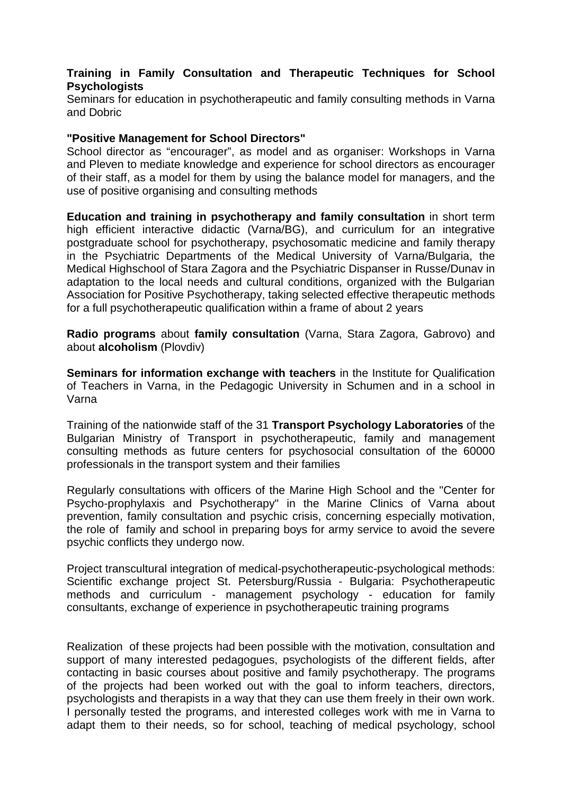# **Training in Family Consultation and Therapeutic Techniques for School Psychologists**

Seminars for education in psychotherapeutic and family consulting methods in Varna and Dobric

#### **"Positive Management for School Directors"**

School director as "encourager", as model and as organiser: Workshops in Varna and Pleven to mediate knowledge and experience for school directors as encourager of their staff, as a model for them by using the balance model for managers, and the use of positive organising and consulting methods

**Education and training in psychotherapy and family consultation** in short term high efficient interactive didactic (Varna/BG), and curriculum for an integrative postgraduate school for psychotherapy, psychosomatic medicine and family therapy in the Psychiatric Departments of the Medical University of Varna/Bulgaria, the Medical Highschool of Stara Zagora and the Psychiatric Dispanser in Russe/Dunav in adaptation to the local needs and cultural conditions, organized with the Bulgarian Association for Positive Psychotherapy, taking selected effective therapeutic methods for a full psychotherapeutic qualification within a frame of about 2 years

**Radio programs** about **family consultation** (Varna, Stara Zagora, Gabrovo) and about **alcoholism** (Plovdiv)

**Seminars for information exchange with teachers** in the Institute for Qualification of Teachers in Varna, in the Pedagogic University in Schumen and in a school in Varna

Training of the nationwide staff of the 31 **Transport Psychology Laboratories** of the Bulgarian Ministry of Transport in psychotherapeutic, family and management consulting methods as future centers for psychosocial consultation of the 60000 professionals in the transport system and their families

Regularly consultations with officers of the Marine High School and the "Center for Psycho-prophylaxis and Psychotherapy" in the Marine Clinics of Varna about prevention, family consultation and psychic crisis, concerning especially motivation, the role of family and school in preparing boys for army service to avoid the severe psychic conflicts they undergo now.

Project transcultural integration of medical-psychotherapeutic-psychological methods: Scientific exchange project St. Petersburg/Russia - Bulgaria: Psychotherapeutic methods and curriculum - management psychology - education for family consultants, exchange of experience in psychotherapeutic training programs

Realization of these projects had been possible with the motivation, consultation and support of many interested pedagogues, psychologists of the different fields, after contacting in basic courses about positive and family psychotherapy. The programs of the projects had been worked out with the goal to inform teachers, directors, psychologists and therapists in a way that they can use them freely in their own work. I personally tested the programs, and interested colleges work with me in Varna to adapt them to their needs, so for school, teaching of medical psychology, school